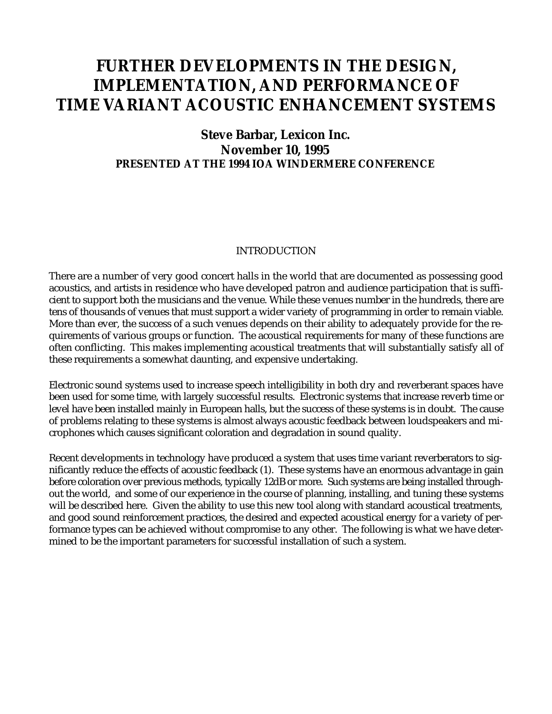# **FURTHER DEVELOPMENTS IN THE DESIGN, IMPLEMENTATION, AND PERFORMANCE OF TIME VARIANT ACOUSTIC ENHANCEMENT SYSTEMS**

## **Steve Barbar, Lexicon Inc. November 10, 1995 PRESENTED AT THE 1994 IOA WINDERMERE CONFERENCE**

#### INTRODUCTION

There are a number of very good concert halls in the world that are documented as possessing good acoustics, and artists in residence who have developed patron and audience participation that is sufficient to support both the musicians and the venue. While these venues number in the hundreds, there are tens of thousands of venues that must support a wider variety of programming in order to remain viable. More than ever, the success of a such venues depends on their ability to adequately provide for the requirements of various groups or function. The acoustical requirements for many of these functions are often conflicting. This makes implementing acoustical treatments that will substantially satisfy all of these requirements a somewhat daunting, and expensive undertaking.

Electronic sound systems used to increase speech intelligibility in both dry and reverberant spaces have been used for some time, with largely successful results. Electronic systems that increase reverb time or level have been installed mainly in European halls, but the success of these systems is in doubt. The cause of problems relating to these systems is almost always acoustic feedback between loudspeakers and microphones which causes significant coloration and degradation in sound quality.

Recent developments in technology have produced a system that uses time variant reverberators to significantly reduce the effects of acoustic feedback (1). These systems have an enormous advantage in gain before coloration over previous methods, typically 12dB or more. Such systems are being installed throughout the world, and some of our experience in the course of planning, installing, and tuning these systems will be described here. Given the ability to use this new tool along with standard acoustical treatments, and good sound reinforcement practices, the desired and expected acoustical energy for a variety of performance types can be achieved without compromise to any other. The following is what we have determined to be the important parameters for successful installation of such a system.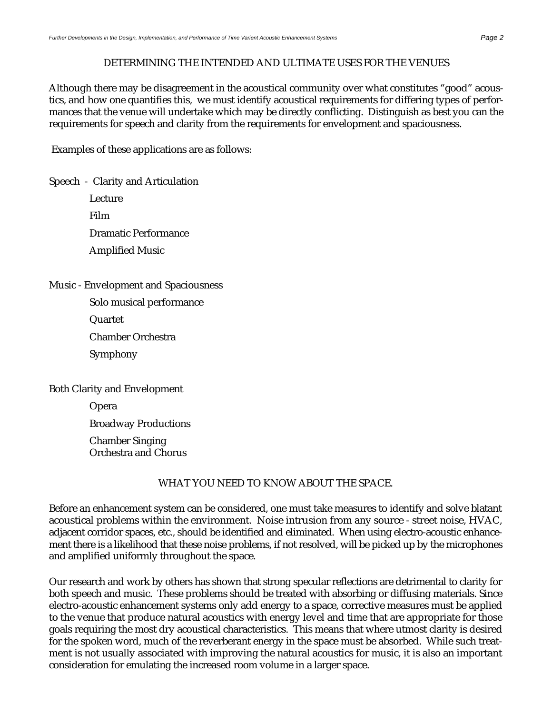#### DETERMINING THE INTENDED AND ULTIMATE USES FOR THE VENUES

Although there may be disagreement in the acoustical community over what constitutes "good" acoustics, and how one quantifies this, we must identify acoustical requirements for differing types of performances that the venue will undertake which may be directly conflicting. Distinguish as best you can the requirements for speech and clarity from the requirements for envelopment and spaciousness.

Examples of these applications are as follows:

Speech - Clarity and Articulation

- Lecture Film Dramatic Performance Amplified Music
- Music Envelopment and Spaciousness
	- Solo musical performance

Quartet

Chamber Orchestra

Symphony

Both Clarity and Envelopment

Opera

Broadway Productions

Chamber Singing Orchestra and Chorus

### WHAT YOU NEED TO KNOW ABOUT THE SPACE.

Before an enhancement system can be considered, one must take measures to identify and solve blatant acoustical problems within the environment. Noise intrusion from any source - street noise, HVAC, adjacent corridor spaces, etc., should be identified and eliminated. When using electro-acoustic enhancement there is a likelihood that these noise problems, if not resolved, will be picked up by the microphones and amplified uniformly throughout the space.

Our research and work by others has shown that strong specular reflections are detrimental to clarity for both speech and music. These problems should be treated with absorbing or diffusing materials. Since electro-acoustic enhancement systems only add energy to a space, corrective measures must be applied to the venue that produce natural acoustics with energy level and time that are appropriate for those goals requiring the most dry acoustical characteristics. This means that where utmost clarity is desired for the spoken word, much of the reverberant energy in the space must be absorbed. While such treatment is not usually associated with improving the natural acoustics for music, it is also an important consideration for emulating the increased room volume in a larger space.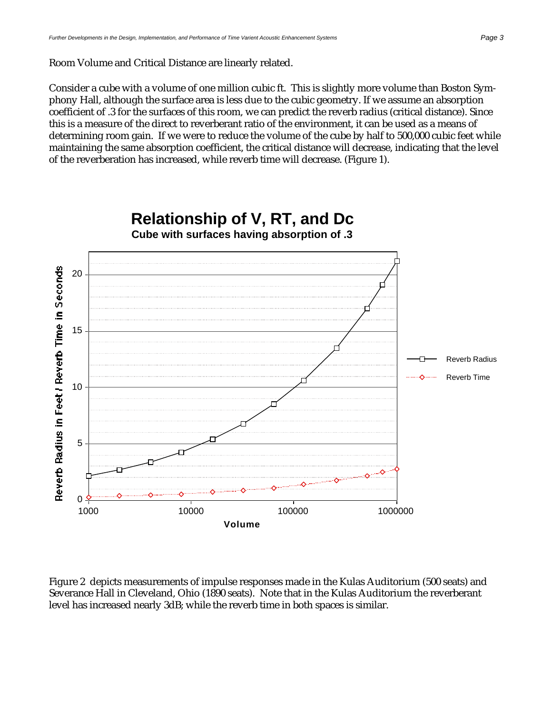Consider a cube with a volume of one million cubic ft. This is slightly more volume than Boston Symphony Hall, although the surface area is less due to the cubic geometry. If we assume an absorption coefficient of .3 for the surfaces of this room, we can predict the reverb radius (critical distance). Since this is a measure of the direct to reverberant ratio of the environment, it can be used as a means of determining room gain. If we were to reduce the volume of the cube by half to 500,000 cubic feet while maintaining the same absorption coefficient, the critical distance will decrease, indicating that the level of the reverberation has increased, while reverb time will decrease. (Figure 1).



Figure 2 depicts measurements of impulse responses made in the Kulas Auditorium (500 seats) and Severance Hall in Cleveland, Ohio (1890 seats). Note that in the Kulas Auditorium the reverberant level has increased nearly 3dB; while the reverb time in both spaces is similar.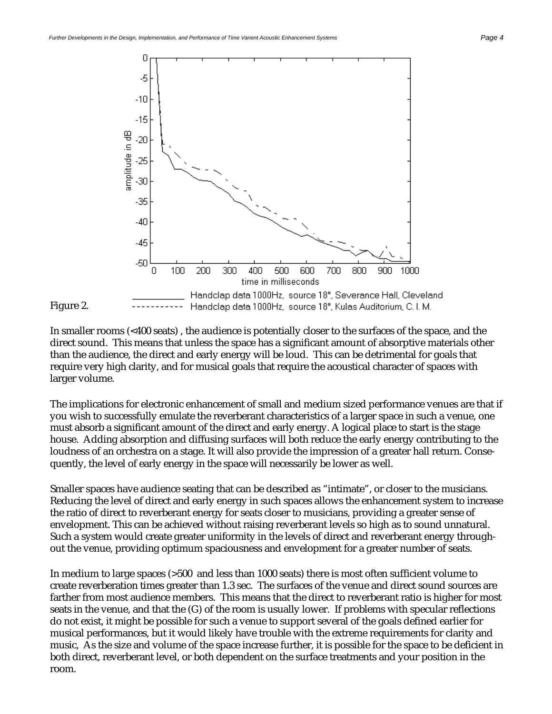Figure 2.



In smaller rooms (<400 seats) , the audience is potentially closer to the surfaces of the space, and the direct sound. This means that unless the space has a significant amount of absorptive materials other than the audience, the direct and early energy will be loud. This can be detrimental for goals that require very high clarity, and for musical goals that require the acoustical character of spaces with larger volume.

The implications for electronic enhancement of small and medium sized performance venues are that if you wish to successfully emulate the reverberant characteristics of a larger space in such a venue, one must absorb a significant amount of the direct and early energy. A logical place to start is the stage house. Adding absorption and diffusing surfaces will both reduce the early energy contributing to the loudness of an orchestra on a stage. It will also provide the impression of a greater hall return. Consequently, the level of early energy in the space will necessarily be lower as well.

Smaller spaces have audience seating that can be described as "intimate", or closer to the musicians. Reducing the level of direct and early energy in such spaces allows the enhancement system to increase the ratio of direct to reverberant energy for seats closer to musicians, providing a greater sense of envelopment. This can be achieved without raising reverberant levels so high as to sound unnatural. Such a system would create greater uniformity in the levels of direct and reverberant energy throughout the venue, providing optimum spaciousness and envelopment for a greater number of seats.

In medium to large spaces (>500 and less than 1000 seats) there is most often sufficient volume to create reverberation times greater than 1.3 sec. The surfaces of the venue and direct sound sources are farther from most audience members. This means that the direct to reverberant ratio is higher for most seats in the venue, and that the (G) of the room is usually lower. If problems with specular reflections do not exist, it might be possible for such a venue to support several of the goals defined earlier for musical performances, but it would likely have trouble with the extreme requirements for clarity and music, As the size and volume of the space increase further, it is possible for the space to be deficient in both direct, reverberant level, or both dependent on the surface treatments and your position in the room.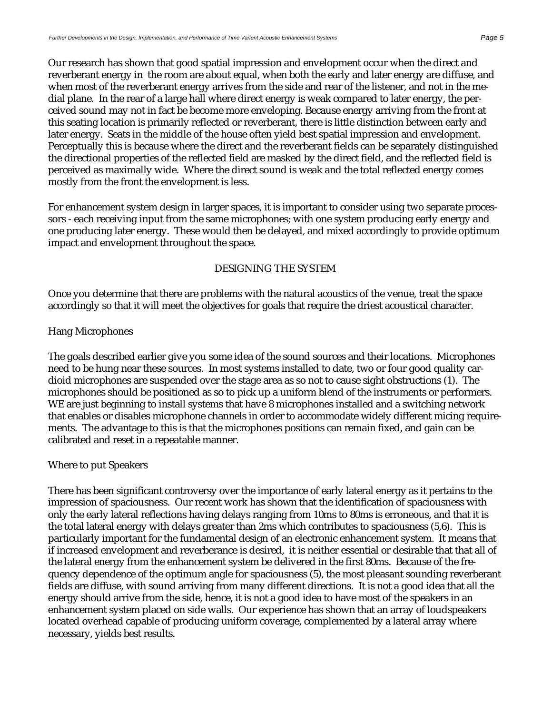Our research has shown that good spatial impression and envelopment occur when the direct and reverberant energy in the room are about equal, when both the early and later energy are diffuse, and when most of the reverberant energy arrives from the side and rear of the listener, and not in the medial plane. In the rear of a large hall where direct energy is weak compared to later energy, the perceived sound may not in fact be become more enveloping. Because energy arriving from the front at this seating location is primarily reflected or reverberant, there is little distinction between early and later energy. Seats in the middle of the house often yield best spatial impression and envelopment. Perceptually this is because where the direct and the reverberant fields can be separately distinguished the directional properties of the reflected field are masked by the direct field, and the reflected field is perceived as maximally wide. Where the direct sound is weak and the total reflected energy comes mostly from the front the envelopment is less.

For enhancement system design in larger spaces, it is important to consider using two separate processors - each receiving input from the same microphones; with one system producing early energy and one producing later energy. These would then be delayed, and mixed accordingly to provide optimum impact and envelopment throughout the space.

#### DESIGNING THE SYSTEM

Once you determine that there are problems with the natural acoustics of the venue, treat the space accordingly so that it will meet the objectives for goals that require the driest acoustical character.

#### Hang Microphones

The goals described earlier give you some idea of the sound sources and their locations. Microphones need to be hung near these sources. In most systems installed to date, two or four good quality cardioid microphones are suspended over the stage area as so not to cause sight obstructions (1). The microphones should be positioned as so to pick up a uniform blend of the instruments or performers. WE are just beginning to install systems that have 8 microphones installed and a switching network that enables or disables microphone channels in order to accommodate widely different micing requirements. The advantage to this is that the microphones positions can remain fixed, and gain can be calibrated and reset in a repeatable manner.

#### Where to put Speakers

There has been significant controversy over the importance of early lateral energy as it pertains to the impression of spaciousness. Our recent work has shown that the identification of spaciousness with only the early lateral reflections having delays ranging from 10ms to 80ms is erroneous, and that it is the total lateral energy with delays greater than 2ms which contributes to spaciousness (5,6). This is particularly important for the fundamental design of an electronic enhancement system. It means that if increased envelopment and reverberance is desired, it is neither essential or desirable that that all of the lateral energy from the enhancement system be delivered in the first 80ms. Because of the frequency dependence of the optimum angle for spaciousness (5), the most pleasant sounding reverberant fields are diffuse, with sound arriving from many different directions. It is not a good idea that all the energy should arrive from the side, hence, it is not a good idea to have most of the speakers in an enhancement system placed on side walls. Our experience has shown that an array of loudspeakers located overhead capable of producing uniform coverage, complemented by a lateral array where necessary, yields best results.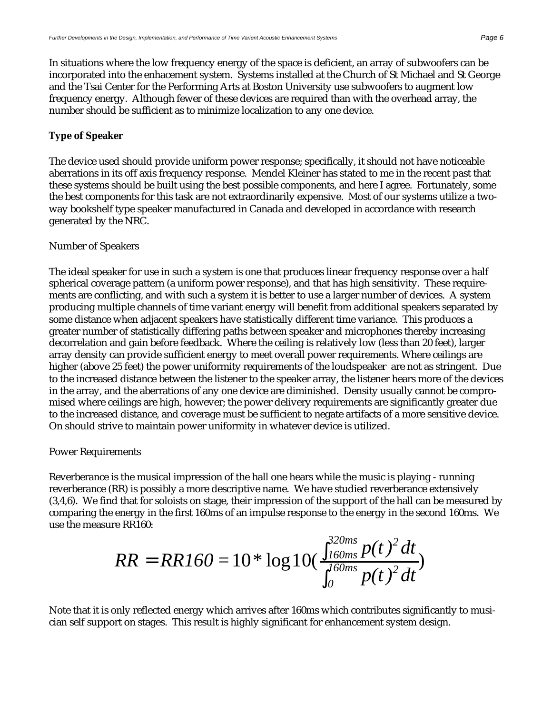In situations where the low frequency energy of the space is deficient, an array of subwoofers can be incorporated into the enhacement system. Systems installed at the Church of St Michael and St George and the Tsai Center for the Performing Arts at Boston University use subwoofers to augment low frequency energy. Although fewer of these devices are required than with the overhead array, the number should be sufficient as to minimize localization to any one device.

#### **Type of Speaker**

The device used should provide uniform power response; specifically, it should not have noticeable aberrations in its off axis frequency response. Mendel Kleiner has stated to me in the recent past that these systems should be built using the best possible components, and here I agree. Fortunately, some the best components for this task are not extraordinarily expensive. Most of our systems utilize a twoway bookshelf type speaker manufactured in Canada and developed in accordance with research generated by the NRC.

#### Number of Speakers

The ideal speaker for use in such a system is one that produces linear frequency response over a half spherical coverage pattern (a uniform power response), and that has high sensitivity. These requirements are conflicting, and with such a system it is better to use a larger number of devices. A system producing multiple channels of time variant energy will benefit from additional speakers separated by some distance when adjacent speakers have statistically different time variance. This produces a greater number of statistically differing paths between speaker and microphones thereby increasing decorrelation and gain before feedback. Where the ceiling is relatively low (less than 20 feet), larger array density can provide sufficient energy to meet overall power requirements. Where ceilings are higher (above 25 feet) the power uniformity requirements of the loudspeaker are not as stringent. Due to the increased distance between the listener to the speaker array, the listener hears more of the devices in the array, and the aberrations of any one device are diminished. Density usually cannot be compromised where ceilings are high, however; the power delivery requirements are significantly greater due to the increased distance, and coverage must be sufficient to negate artifacts of a more sensitive device. On should strive to maintain power uniformity in whatever device is utilized.

#### Power Requirements

Reverberance is the musical impression of the hall one hears while the music is playing - running reverberance (RR) is possibly a more descriptive name. We have studied reverberance extensively (3,4,6). We find that for soloists on stage, their impression of the support of the hall can be measured by comparing the energy in the first 160ms of an impulse response to the energy in the second 160ms. We use the measure RR160:

$$
RR = RR160 = 10 * \log_{10} \frac{320ms}{160ms} p(t)^{2} dt
$$
  

$$
_{o}^{0} p(t)^{2} dt
$$

Note that it is only reflected energy which arrives after 160ms which contributes significantly to musician self support on stages. This result is highly significant for enhancement system design.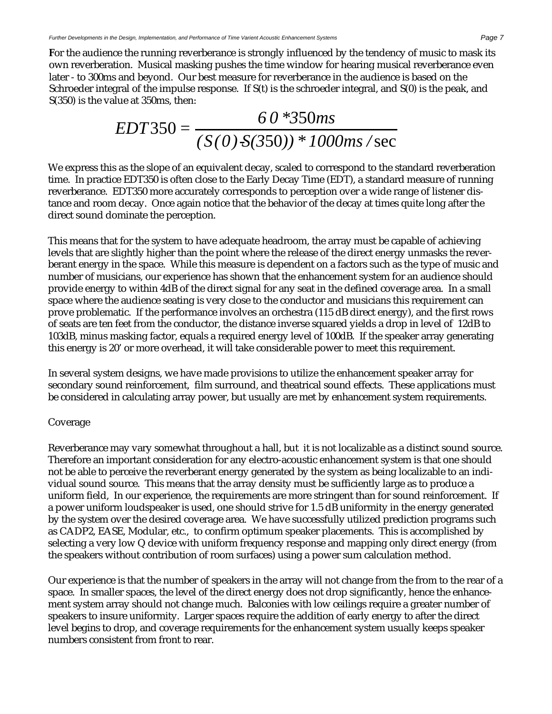**F**or the audience the running reverberance is strongly influenced by the tendency of music to mask its own reverberation. Musical masking pushes the time window for hearing musical reverberance even later - to 300ms and beyond. Our best measure for reverberance in the audience is based on the Schroeder integral of the impulse response. If S(t) is the schroeder integral, and S(0) is the peak, and S(350) is the value at 350ms, then:

$$
EDT350 = \frac{60 * 350ms}{(S(0) \cdot S(350)) * 1000ms/sec}
$$

We express this as the slope of an equivalent decay, scaled to correspond to the standard reverberation time. In practice EDT350 is often close to the Early Decay Time (EDT), a standard measure of running reverberance. EDT350 more accurately corresponds to perception over a wide range of listener distance and room decay. Once again notice that the behavior of the decay at times quite long after the direct sound dominate the perception.

This means that for the system to have adequate headroom, the array must be capable of achieving levels that are slightly higher than the point where the release of the direct energy unmasks the reverberant energy in the space. While this measure is dependent on a factors such as the type of music and number of musicians, our experience has shown that the enhancement system for an audience should provide energy to within 4dB of the direct signal for any seat in the defined coverage area. In a small space where the audience seating is very close to the conductor and musicians this requirement can prove problematic. If the performance involves an orchestra (115 dB direct energy), and the first rows of seats are ten feet from the conductor, the distance inverse squared yields a drop in level of 12dB to 103dB, minus masking factor, equals a required energy level of 100dB. If the speaker array generating this energy is 20' or more overhead, it will take considerable power to meet this requirement.

In several system designs, we have made provisions to utilize the enhancement speaker array for secondary sound reinforcement, film surround, and theatrical sound effects. These applications must be considered in calculating array power, but usually are met by enhancement system requirements.

#### Coverage

Reverberance may vary somewhat throughout a hall, but it is not localizable as a distinct sound source. Therefore an important consideration for any electro-acoustic enhancement system is that one should not be able to perceive the reverberant energy generated by the system as being localizable to an individual sound source. This means that the array density must be sufficiently large as to produce a uniform field, In our experience, the requirements are more stringent than for sound reinforcement. If a power uniform loudspeaker is used, one should strive for 1.5 dB uniformity in the energy generated by the system over the desired coverage area. We have successfully utilized prediction programs such as CADP2, EASE, Modular, etc., to confirm optimum speaker placements. This is accomplished by selecting a very low Q device with uniform frequency response and mapping only direct energy (from the speakers without contribution of room surfaces) using a power sum calculation method.

Our experience is that the number of speakers in the array will not change from the from to the rear of a space. In smaller spaces, the level of the direct energy does not drop significantly, hence the enhancement system array should not change much. Balconies with low ceilings require a greater number of speakers to insure uniformity. Larger spaces require the addition of early energy to after the direct level begins to drop, and coverage requirements for the enhancement system usually keeps speaker numbers consistent from front to rear.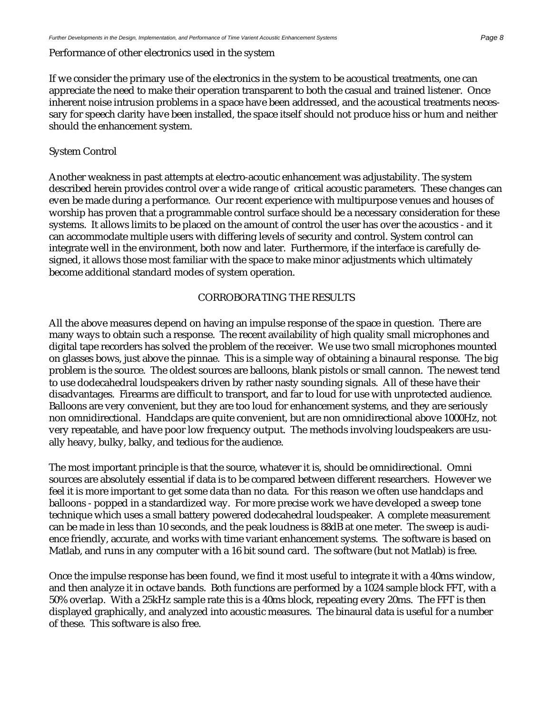#### Performance of other electronics used in the system

If we consider the primary use of the electronics in the system to be acoustical treatments, one can appreciate the need to make their operation transparent to both the casual and trained listener. Once inherent noise intrusion problems in a space have been addressed, and the acoustical treatments necessary for speech clarity have been installed, the space itself should not produce hiss or hum and neither should the enhancement system.

#### System Control

Another weakness in past attempts at electro-acoutic enhancement was adjustability. The system described herein provides control over a wide range of critical acoustic parameters. These changes can even be made during a performance. Our recent experience with multipurpose venues and houses of worship has proven that a programmable control surface should be a necessary consideration for these systems. It allows limits to be placed on the amount of control the user has over the acoustics - and it can accommodate multiple users with differing levels of security and control. System control can integrate well in the environment, both now and later. Furthermore, if the interface is carefully designed, it allows those most familiar with the space to make minor adjustments which ultimately become additional standard modes of system operation.

#### CORROBORATING THE RESULTS

All the above measures depend on having an impulse response of the space in question. There are many ways to obtain such a response. The recent availability of high quality small microphones and digital tape recorders has solved the problem of the receiver. We use two small microphones mounted on glasses bows, just above the pinnae. This is a simple way of obtaining a binaural response. The big problem is the source. The oldest sources are balloons, blank pistols or small cannon. The newest tend to use dodecahedral loudspeakers driven by rather nasty sounding signals. All of these have their disadvantages. Firearms are difficult to transport, and far to loud for use with unprotected audience. Balloons are very convenient, but they are too loud for enhancement systems, and they are seriously non omnidirectional. Handclaps are quite convenient, but are non omnidirectional above 1000Hz, not very repeatable, and have poor low frequency output. The methods involving loudspeakers are usually heavy, bulky, balky, and tedious for the audience.

The most important principle is that the source, whatever it is, should be omnidirectional. Omni sources are absolutely essential if data is to be compared between different researchers. However we feel it is more important to get some data than no data. For this reason we often use handclaps and balloons - popped in a standardized way. For more precise work we have developed a sweep tone technique which uses a small battery powered dodecahedral loudspeaker. A complete measurement can be made in less than 10 seconds, and the peak loudness is 88dB at one meter. The sweep is audience friendly, accurate, and works with time variant enhancement systems. The software is based on Matlab, and runs in any computer with a 16 bit sound card. The software (but not Matlab) is free.

Once the impulse response has been found, we find it most useful to integrate it with a 40ms window, and then analyze it in octave bands. Both functions are performed by a 1024 sample block FFT, with a 50% overlap. With a 25kHz sample rate this is a 40ms block, repeating every 20ms. The FFT is then displayed graphically, and analyzed into acoustic measures. The binaural data is useful for a number of these. This software is also free.